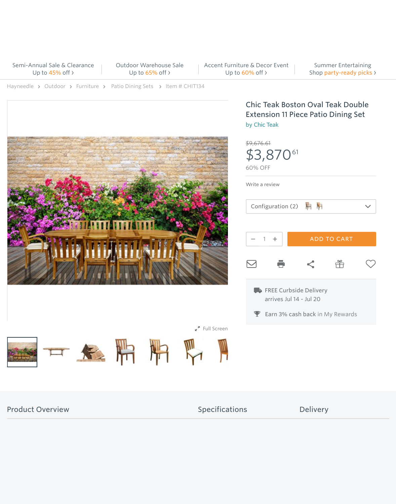



Product Overview Specification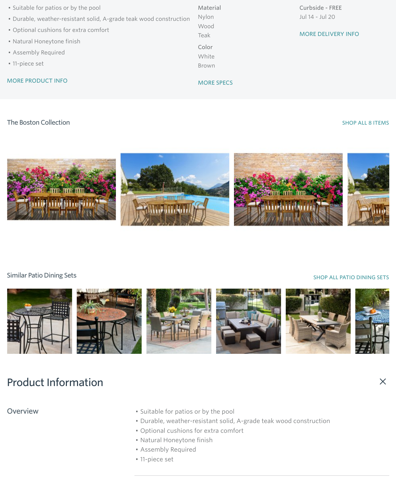



### Similar Patio Dining Sets



## [Product Information](https://www.hayneedle.com/product/chic-teak-boston-italy-rectangular-double-extension-11-piece-patio-dining-set.cfm)

- Overview **•** [Suitable for patios or by the poo](https://www.hayneedle.com/product/chic-teak-boston-round-teak-extension-9-piece-patio-dining-set.cfm)l
	- Durable, weather-resistant solid, A-
	- Optional cushions for extra comfort
	- Natural Honeytone finish
	- Assembly Required
	- 11-piece set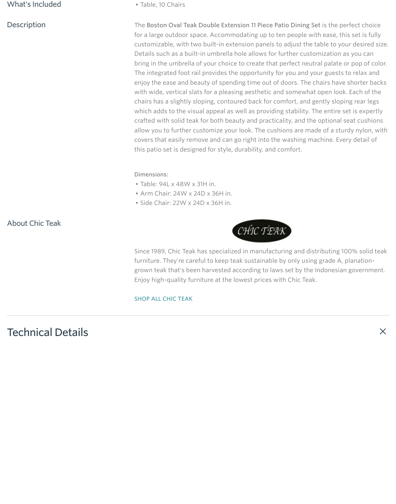- Arm Chair: 24W x 24D x 36H in.
- Side Chair: 22W x 24D x 36H in.





Since 1989, Chic Teak has specialized furniture. They're careful to keep teak grown teak that's been harvested according Enjoy high-quality furniture at the low

SHOP ALL CHIC TEAK

## Technical Details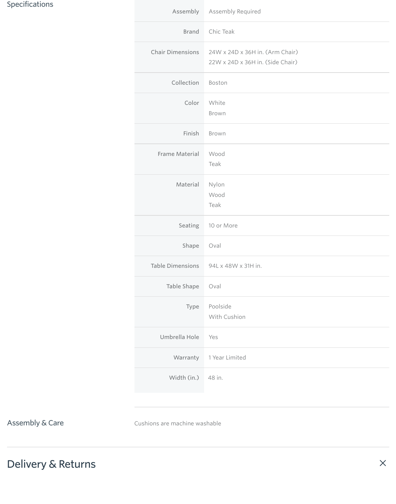### Specifications

| Assembly                | <b>Assembly Required</b>                                            |
|-------------------------|---------------------------------------------------------------------|
| <b>Brand</b>            | Chic Teak                                                           |
| <b>Chair Dimensions</b> | 24W x 24D x 36H in. (Arm Chair)<br>22W x 24D x 36H in. (Side Chair) |
| Collection              | Boston                                                              |
| Color                   | White<br>Brown                                                      |
| Finish                  | Brown                                                               |
| <b>Frame Material</b>   | Wood<br>Teak                                                        |
| Material Nylon          | Wood<br>Teak                                                        |
| <b>Seating</b>          | 10 or More                                                          |
| Shape                   | Oval                                                                |
| <b>Table Dimensions</b> | 94L x 48W x 31H in.                                                 |
| <b>Table Shape</b>      | Oval                                                                |
| Type                    | Poolside<br>With Cushion                                            |
| Umbrella Hole           | Yes                                                                 |
| $\Lambda/\sim$          | $1 \vee \sim 1$ imitas                                              |

|                    | Warranty 1 Year Limited |
|--------------------|-------------------------|
| Width (in.) 48 in. |                         |

 $\times$ 

Assembly & Care Cushions are machine washable

# Delivery & Returns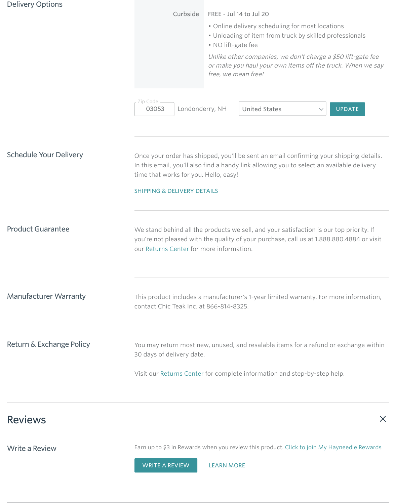### SHIPPING & DELIVERY DETAILS

**Product Guarantee** We stand behind all the products we sell. And you we satisfact it our top products we satisfaction is our top priority. If  $\mathbb{R}^n$ you're not pleased with the quality of our Returns Center for more information.

Manufacturer Warranty This product includes a manufacturer contact Chic Teak Inc. at 866-814-832

Return & Exchange Policy You may return most new, unused, and result a result of a refund or  $R$ 30 days of delivery date.

Visit our Returns Center for complete

## Reviews

Write a Review **Earn up to \$3** in Rewards when you review this product. Click to  $\frac{1}{2}$ 

WRITE A REVIEW LEARN MORE